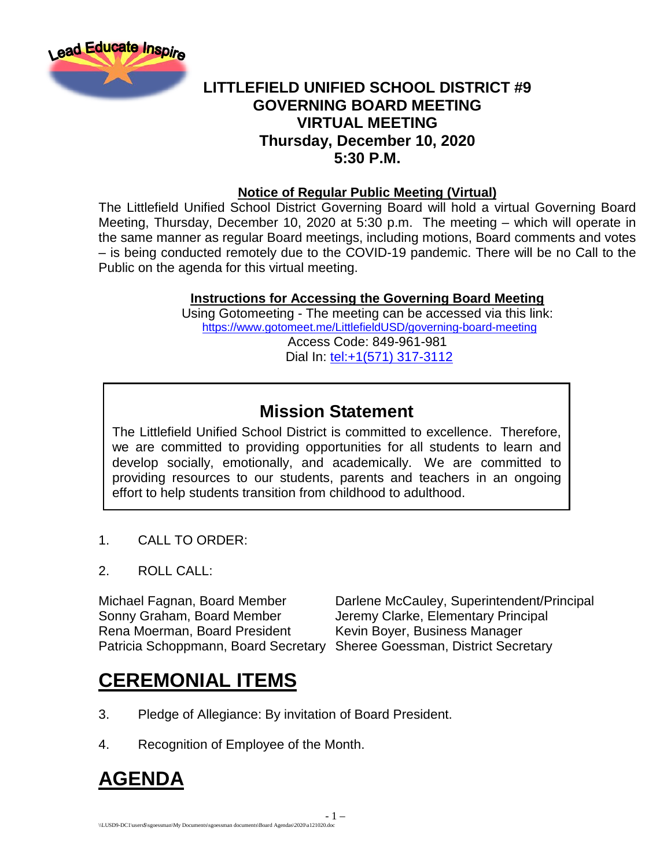

#### **LITTLEFIELD UNIFIED SCHOOL DISTRICT #9 GOVERNING BOARD MEETING VIRTUAL MEETING Thursday, December 10, 2020 5:30 P.M.**

#### **Notice of Regular Public Meeting (Virtual)**

The Littlefield Unified School District Governing Board will hold a virtual Governing Board Meeting, Thursday, December 10, 2020 at 5:30 p.m. The meeting – which will operate in the same manner as regular Board meetings, including motions, Board comments and votes – is being conducted remotely due to the COVID-19 pandemic. There will be no Call to the Public on the agenda for this virtual meeting.

#### **Instructions for Accessing the Governing Board Meeting**

Using Gotomeeting - The meeting can be accessed via this link: <https://www.gotomeet.me/LittlefieldUSD/governing-board-meeting> Access Code: 849-961-981 Dial In: [tel:+1\(571\) 317-3112](tel:+1(571)%20317-3112)

### **Mission Statement**

The Littlefield Unified School District is committed to excellence. Therefore, we are committed to providing opportunities for all students to learn and develop socially, emotionally, and academically. We are committed to providing resources to our students, parents and teachers in an ongoing effort to help students transition from childhood to adulthood.

- 1 –

- 1. CALL TO ORDER:
- 2. ROLL CALL:

Rena Moerman, Board President Kevin Boyer, Business Manager Patricia Schoppmann, Board Secretary Sheree Goessman, District Secretary

Michael Fagnan, Board Member **Darlene McCauley, Superintendent/Principal**<br>Sonny Graham. Board Member Jeremy Clarke. Elementary Principal Jeremy Clarke, Elementary Principal

## **CEREMONIAL ITEMS**

- 3. Pledge of Allegiance: By invitation of Board President.
- 4. Recognition of Employee of the Month.

## **AGENDA**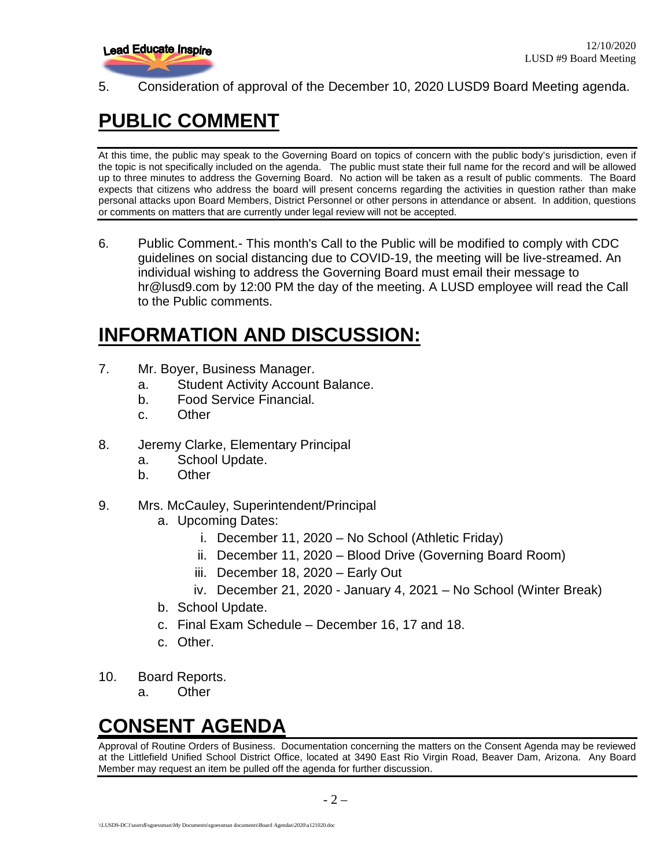

5. Consideration of approval of the December 10, 2020 LUSD9 Board Meeting agenda.

# **PUBLIC COMMENT**

At this time, the public may speak to the Governing Board on topics of concern with the public body's jurisdiction, even if the topic is not specifically included on the agenda. The public must state their full name for the record and will be allowed up to three minutes to address the Governing Board. No action will be taken as a result of public comments. The Board expects that citizens who address the board will present concerns regarding the activities in question rather than make personal attacks upon Board Members, District Personnel or other persons in attendance or absent. In addition, questions or comments on matters that are currently under legal review will not be accepted.

6. Public Comment.- This month's Call to the Public will be modified to comply with CDC guidelines on social distancing due to COVID-19, the meeting will be live-streamed. An individual wishing to address the Governing Board must email their message to hr@lusd9.com by 12:00 PM the day of the meeting. A LUSD employee will read the Call to the Public comments.

## **INFORMATION AND DISCUSSION:**

- 7. Mr. Boyer, Business Manager.
	- a. Student Activity Account Balance.
	- b. Food Service Financial.
	- c. Other
- 8. Jeremy Clarke, Elementary Principal
	- a. School Update.
	- b. Other
- 9. Mrs. McCauley, Superintendent/Principal
	- a. Upcoming Dates:
		- i. December 11, 2020 No School (Athletic Friday)
		- ii. December 11, 2020 Blood Drive (Governing Board Room)
		- iii. December 18, 2020 Early Out
		- iv. December 21, 2020 January 4, 2021 No School (Winter Break)
	- b. School Update.
	- c. Final Exam Schedule December 16, 17 and 18.
	- c. Other.
- 10. Board Reports.
	- a. Other

## **CONSENT AGENDA**

Approval of Routine Orders of Business. Documentation concerning the matters on the Consent Agenda may be reviewed at the Littlefield Unified School District Office, located at 3490 East Rio Virgin Road, Beaver Dam, Arizona. Any Board Member may request an item be pulled off the agenda for further discussion.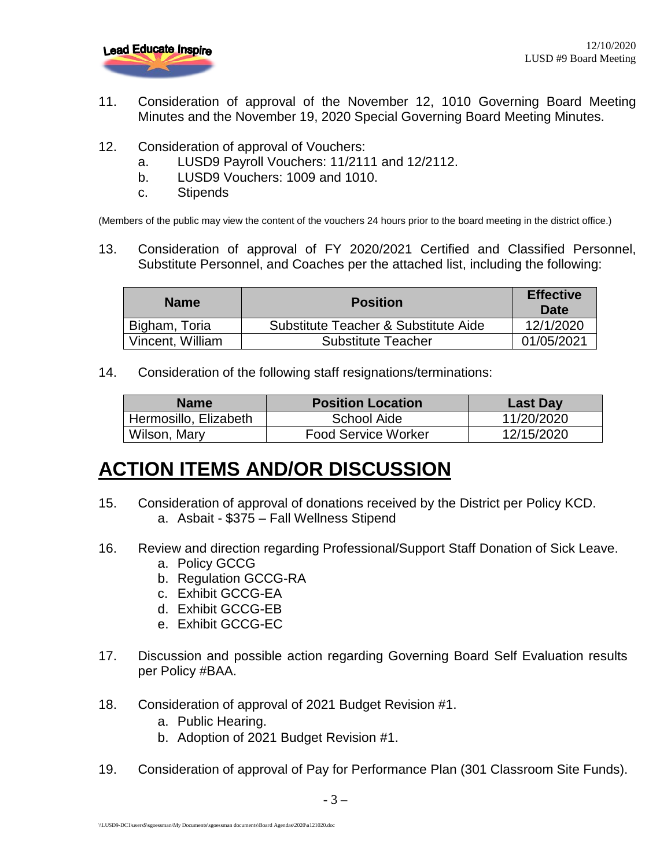

- 11. Consideration of approval of the November 12, 1010 Governing Board Meeting Minutes and the November 19, 2020 Special Governing Board Meeting Minutes.
- 12. Consideration of approval of Vouchers:
	- a. LUSD9 Payroll Vouchers: 11/2111 and 12/2112.
	- b. LUSD9 Vouchers: 1009 and 1010.
	- c. Stipends

(Members of the public may view the content of the vouchers 24 hours prior to the board meeting in the district office.)

13. Consideration of approval of FY 2020/2021 Certified and Classified Personnel, Substitute Personnel, and Coaches per the attached list, including the following:

| <b>Name</b>      | <b>Position</b>                      | <b>Effective</b><br>Date |
|------------------|--------------------------------------|--------------------------|
| Bigham, Toria    | Substitute Teacher & Substitute Aide | 12/1/2020                |
| Vincent, William | <b>Substitute Teacher</b>            | 01/05/2021               |

14. Consideration of the following staff resignations/terminations:

| <b>Name</b>           | <b>Position Location</b>   | Last Day   |
|-----------------------|----------------------------|------------|
| Hermosillo, Elizabeth | School Aide                | 11/20/2020 |
| Wilson, Mary          | <b>Food Service Worker</b> | 12/15/2020 |

## **ACTION ITEMS AND/OR DISCUSSION**

- 15. Consideration of approval of donations received by the District per Policy KCD. a. Asbait - \$375 – Fall Wellness Stipend
- 16. Review and direction regarding Professional/Support Staff Donation of Sick Leave. a. Policy GCCG
	-
	- b. Regulation GCCG-RA
	- c. Exhibit GCCG-EA
	- d. Exhibit GCCG-EB
	- e. Exhibit GCCG-EC
- 17. Discussion and possible action regarding Governing Board Self Evaluation results per Policy #BAA.
- 18. Consideration of approval of 2021 Budget Revision #1.
	- a. Public Hearing.
	- b. Adoption of 2021 Budget Revision #1.
- 19. Consideration of approval of Pay for Performance Plan (301 Classroom Site Funds).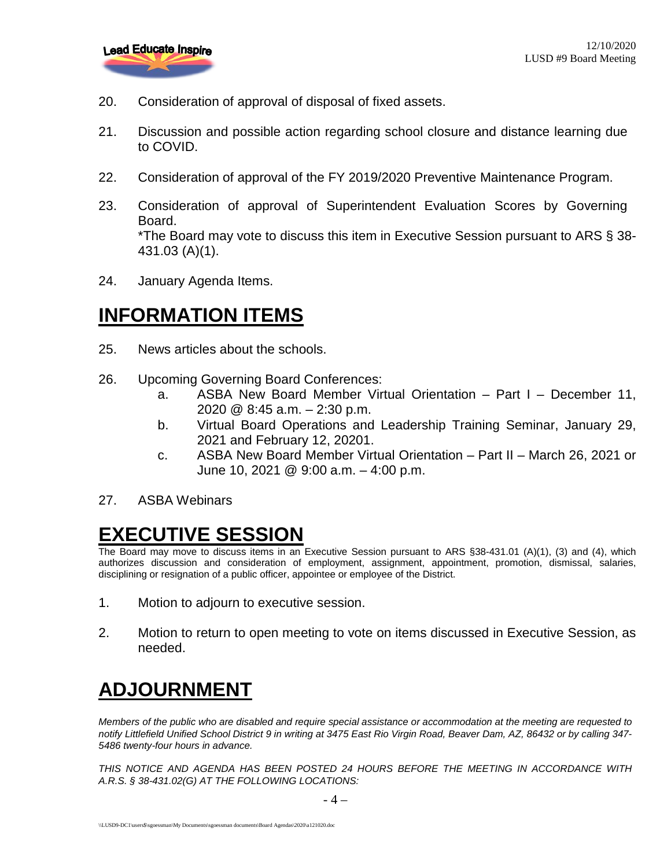

- 20. Consideration of approval of disposal of fixed assets.
- 21. Discussion and possible action regarding school closure and distance learning due to COVID.
- 22. Consideration of approval of the FY 2019/2020 Preventive Maintenance Program.
- 23. Consideration of approval of Superintendent Evaluation Scores by Governing Board. \*The Board may vote to discuss this item in Executive Session pursuant to ARS § 38- 431.03 (A)(1).
- 24. January Agenda Items.

### **INFORMATION ITEMS**

- 25. News articles about the schools.
- 26. Upcoming Governing Board Conferences:
	- a. ASBA New Board Member Virtual Orientation Part I December 11, 2020 @ 8:45 a.m. – 2:30 p.m.
	- b. Virtual Board Operations and Leadership Training Seminar, January 29, 2021 and February 12, 20201.
	- c. ASBA New Board Member Virtual Orientation Part II March 26, 2021 or June 10, 2021 @ 9:00 a.m. – 4:00 p.m.
- 27. ASBA Webinars

## **EXECUTIVE SESSION**

The Board may move to discuss items in an Executive Session pursuant to ARS §38-431.01 (A)(1), (3) and (4), which authorizes discussion and consideration of employment, assignment, appointment, promotion, dismissal, salaries, disciplining or resignation of a public officer, appointee or employee of the District.

- 1. Motion to adjourn to executive session.
- 2. Motion to return to open meeting to vote on items discussed in Executive Session, as needed.

# **ADJOURNMENT**

*Members of the public who are disabled and require special assistance or accommodation at the meeting are requested to notify Littlefield Unified School District 9 in writing at 3475 East Rio Virgin Road, Beaver Dam, AZ, 86432 or by calling 347- 5486 twenty-four hours in advance.* 

*THIS NOTICE AND AGENDA HAS BEEN POSTED 24 HOURS BEFORE THE MEETING IN ACCORDANCE WITH A.R.S. § 38-431.02(G) AT THE FOLLOWING LOCATIONS:*